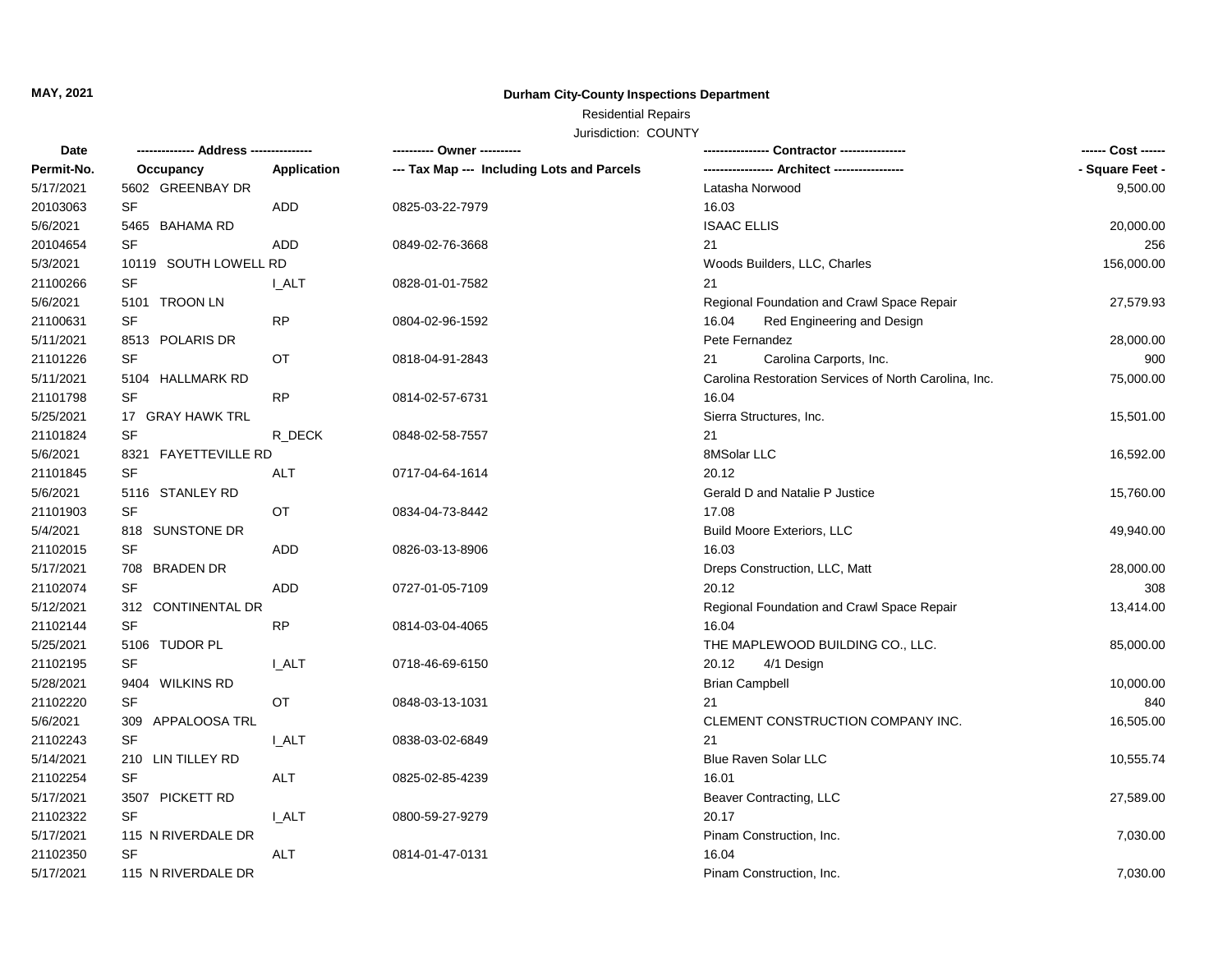# **MAY, 2021 Durham City-County Inspections Department**

## Residential Repairs

Jurisdiction: COUNTY

| Date       | -------------- Address --------------- |              | ---------- Owner ----------                |                                                       |                 |
|------------|----------------------------------------|--------------|--------------------------------------------|-------------------------------------------------------|-----------------|
| Permit-No. | Occupancy                              | Application  | --- Tax Map --- Including Lots and Parcels |                                                       | - Square Feet - |
| 5/17/2021  | 5602 GREENBAY DR                       |              |                                            | Latasha Norwood                                       | 9,500.00        |
| 20103063   | SF                                     | ADD          | 0825-03-22-7979                            | 16.03                                                 |                 |
| 5/6/2021   | 5465 BAHAMA RD                         |              |                                            | <b>ISAAC ELLIS</b>                                    | 20,000.00       |
| 20104654   | <b>SF</b>                              | ADD          | 0849-02-76-3668                            | 21                                                    | 256             |
| 5/3/2021   | 10119 SOUTH LOWELL RD                  |              |                                            | Woods Builders, LLC, Charles                          | 156,000.00      |
| 21100266   | SF                                     | I ALT        | 0828-01-01-7582                            | 21                                                    |                 |
| 5/6/2021   | 5101 TROON LN                          |              |                                            | Regional Foundation and Crawl Space Repair            | 27,579.93       |
| 21100631   | SF                                     | RP           | 0804-02-96-1592                            | Red Engineering and Design<br>16.04                   |                 |
| 5/11/2021  | 8513 POLARIS DR                        |              |                                            | Pete Fernandez                                        | 28,000.00       |
| 21101226   | SF                                     | OT           | 0818-04-91-2843                            | Carolina Carports, Inc.<br>21                         | 900             |
| 5/11/2021  | 5104 HALLMARK RD                       |              |                                            | Carolina Restoration Services of North Carolina, Inc. | 75,000.00       |
| 21101798   | SF                                     | RP           | 0814-02-57-6731                            | 16.04                                                 |                 |
| 5/25/2021  | 17 GRAY HAWK TRL                       |              |                                            | Sierra Structures, Inc.                               | 15,501.00       |
| 21101824   | <b>SF</b>                              | R_DECK       | 0848-02-58-7557                            | 21                                                    |                 |
| 5/6/2021   | 8321 FAYETTEVILLE RD                   |              |                                            | 8MSolar LLC                                           | 16,592.00       |
| 21101845   | <b>SF</b>                              | <b>ALT</b>   | 0717-04-64-1614                            | 20.12                                                 |                 |
| 5/6/2021   | 5116 STANLEY RD                        |              |                                            | Gerald D and Natalie P Justice                        | 15,760.00       |
| 21101903   | SF                                     | OT           | 0834-04-73-8442                            | 17.08                                                 |                 |
| 5/4/2021   | 818 SUNSTONE DR                        |              |                                            | <b>Build Moore Exteriors, LLC</b>                     | 49,940.00       |
| 21102015   | <b>SF</b>                              | <b>ADD</b>   | 0826-03-13-8906                            | 16.03                                                 |                 |
| 5/17/2021  | 708 BRADEN DR                          |              |                                            | Dreps Construction, LLC, Matt                         | 28,000.00       |
| 21102074   | SF                                     | ADD          | 0727-01-05-7109                            | 20.12                                                 | 308             |
| 5/12/2021  | 312 CONTINENTAL DR                     |              |                                            | Regional Foundation and Crawl Space Repair            | 13,414.00       |
| 21102144   | SF                                     | <b>RP</b>    | 0814-03-04-4065                            | 16.04                                                 |                 |
| 5/25/2021  | 5106 TUDOR PL                          |              |                                            | THE MAPLEWOOD BUILDING CO., LLC.                      | 85,000.00       |
| 21102195   | SF                                     | I_ALT        | 0718-46-69-6150                            | 20.12<br>4/1 Design                                   |                 |
| 5/28/2021  | 9404 WILKINS RD                        |              |                                            | <b>Brian Campbell</b>                                 | 10,000.00       |
| 21102220   | <b>SF</b>                              | OT           | 0848-03-13-1031                            | 21                                                    | 840             |
| 5/6/2021   | 309 APPALOOSA TRL                      |              |                                            | CLEMENT CONSTRUCTION COMPANY INC.                     | 16,505.00       |
| 21102243   | SF                                     | <b>I_ALT</b> | 0838-03-02-6849                            | 21                                                    |                 |
| 5/14/2021  | 210 LIN TILLEY RD                      |              |                                            | Blue Raven Solar LLC                                  | 10,555.74       |
| 21102254   | <b>SF</b>                              | <b>ALT</b>   | 0825-02-85-4239                            | 16.01                                                 |                 |
| 5/17/2021  | 3507 PICKETT RD                        |              |                                            | Beaver Contracting, LLC                               | 27,589.00       |
| 21102322   | <b>SF</b>                              | <b>I_ALT</b> | 0800-59-27-9279                            | 20.17                                                 |                 |
| 5/17/2021  | 115 N RIVERDALE DR                     |              |                                            | Pinam Construction, Inc.                              | 7,030.00        |
| 21102350   | SF                                     | ALT          | 0814-01-47-0131                            | 16.04                                                 |                 |
| 5/17/2021  | 115 N RIVERDALE DR                     |              |                                            | Pinam Construction, Inc.                              | 7,030.00        |